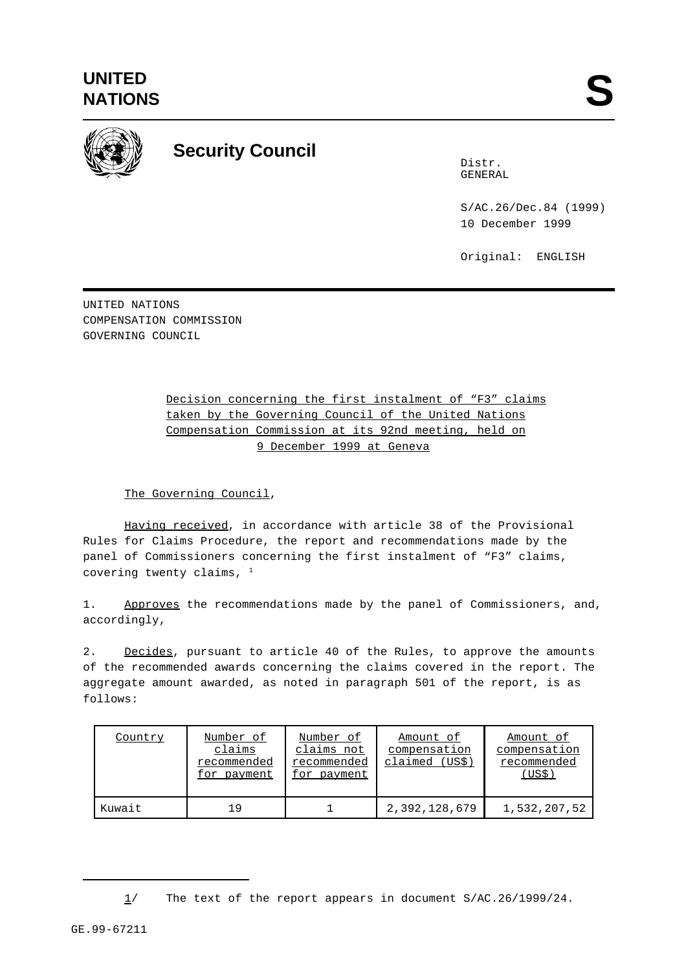

## **Security Council**

Distr. GENERAL

S/AC.26/Dec.84 (1999) 10 December 1999

Original: ENGLISH

UNITED NATIONS COMPENSATION COMMISSION GOVERNING COUNCIL

## Decision concerning the first instalment of "F3" claims taken by the Governing Council of the United Nations Compensation Commission at its 92nd meeting, held on 9 December 1999 at Geneva

## The Governing Council,

Having received, in accordance with article 38 of the Provisional Rules for Claims Procedure, the report and recommendations made by the panel of Commissioners concerning the first instalment of "F3" claims, covering twenty claims,  $1$ 

1. Approves the recommendations made by the panel of Commissioners, and, accordingly,

2. Decides, pursuant to article 40 of the Rules, to approve the amounts of the recommended awards concerning the claims covered in the report. The aggregate amount awarded, as noted in paragraph 501 of the report, is as follows:

| Country | Number of<br>claims<br>recommended<br>for payment | Number of<br>claims not<br>recommended<br>for payment | Amount of<br>compensation<br>claimed (US\$) | Amount of<br>compensation<br>recommended<br>(USS) |
|---------|---------------------------------------------------|-------------------------------------------------------|---------------------------------------------|---------------------------------------------------|
| Kuwait  | 1 Q                                               |                                                       | 2,392,128,679                               | 1,532,207,52                                      |

<sup>1/</sup> The text of the report appears in document S/AC.26/1999/24.